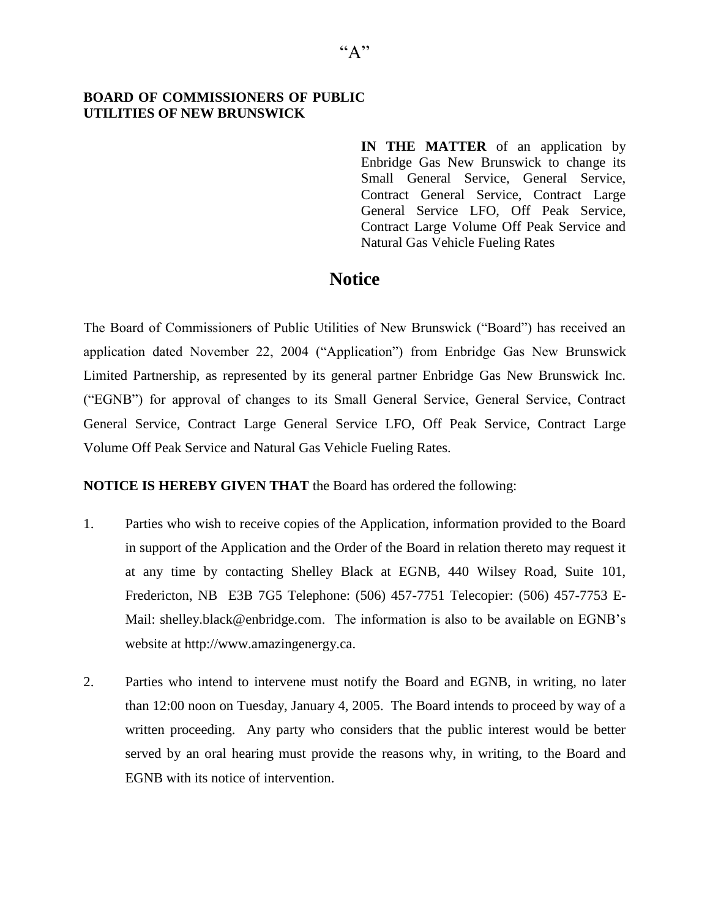## **BOARD OF COMMISSIONERS OF PUBLIC UTILITIES OF NEW BRUNSWICK**

**IN THE MATTER** of an application by Enbridge Gas New Brunswick to change its Small General Service, General Service, Contract General Service, Contract Large General Service LFO, Off Peak Service, Contract Large Volume Off Peak Service and Natural Gas Vehicle Fueling Rates

## **Notice**

The Board of Commissioners of Public Utilities of New Brunswick ("Board") has received an application dated November 22, 2004 ("Application") from Enbridge Gas New Brunswick Limited Partnership, as represented by its general partner Enbridge Gas New Brunswick Inc. ("EGNB") for approval of changes to its Small General Service, General Service, Contract General Service, Contract Large General Service LFO, Off Peak Service, Contract Large Volume Off Peak Service and Natural Gas Vehicle Fueling Rates.

## **NOTICE IS HEREBY GIVEN THAT** the Board has ordered the following:

- 1. Parties who wish to receive copies of the Application, information provided to the Board in support of the Application and the Order of the Board in relation thereto may request it at any time by contacting Shelley Black at EGNB, 440 Wilsey Road, Suite 101, Fredericton, NB E3B 7G5 Telephone: (506) 457-7751 Telecopier: (506) 457-7753 E-Mail: [shelley.black@enbridge.com.](mailto:shelley.black@enbridge.com) The information is also to be available on EGNB's website at [http://www.amazingenergy.ca.](http://www.amazingenergy.ca/)
- 2. Parties who intend to intervene must notify the Board and EGNB, in writing, no later than 12:00 noon on Tuesday, January 4, 2005. The Board intends to proceed by way of a written proceeding. Any party who considers that the public interest would be better served by an oral hearing must provide the reasons why, in writing, to the Board and EGNB with its notice of intervention.